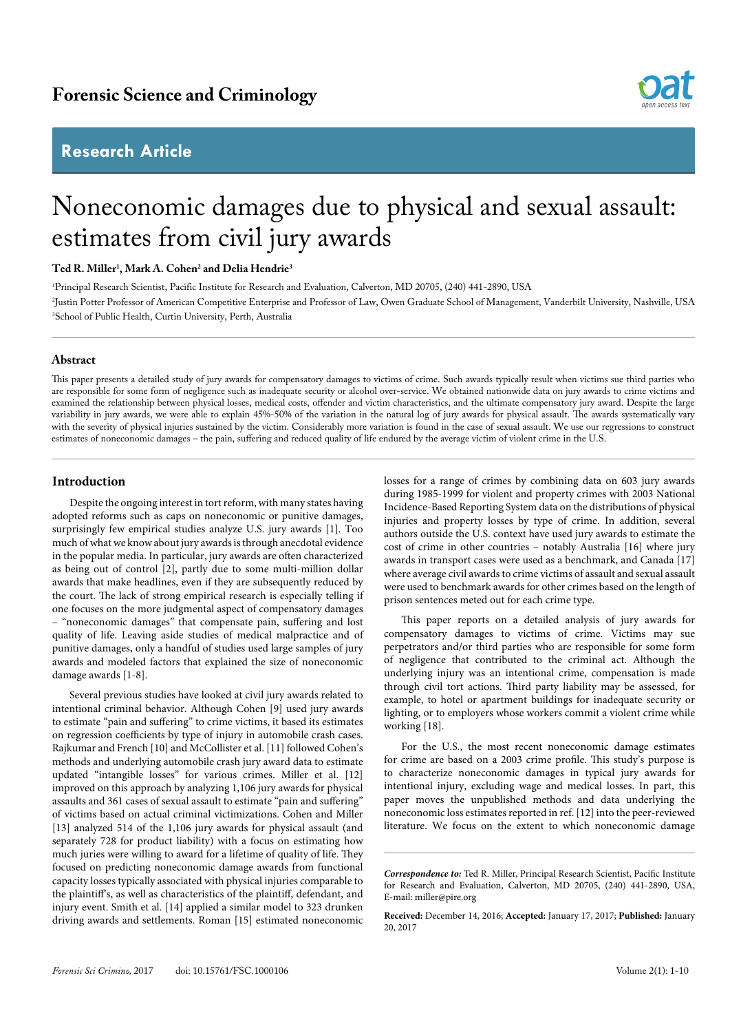# **Research Article**



# Noneconomic damages due to physical and sexual assault: estimates from civil jury awards

# **Ted R. Miller1 , Mark A. Cohen2 and Delia Hendrie3**

1 Principal Research Scientist, Pacific Institute for Research and Evaluation, Calverton, MD 20705, (240) 441-2890, USA 2 Justin Potter Professor of American Competitive Enterprise and Professor of Law, Owen Graduate School of Management, Vanderbilt University, Nashville, USA 3 School of Public Health, Curtin University, Perth, Australia

#### **Abstract**

This paper presents a detailed study of jury awards for compensatory damages to victims of crime. Such awards typically result when victims sue third parties who are responsible for some form of negligence such as inadequate security or alcohol over-service. We obtained nationwide data on jury awards to crime victims and examined the relationship between physical losses, medical costs, offender and victim characteristics, and the ultimate compensatory jury award. Despite the large variability in jury awards, we were able to explain 45%-50% of the variation in the natural log of jury awards for physical assault. The awards systematically vary with the severity of physical injuries sustained by the victim. Considerably more variation is found in the case of sexual assault. We use our regressions to construct estimates of noneconomic damages – the pain, suffering and reduced quality of life endured by the average victim of violent crime in the U.S.

# **Introduction**

Despite the ongoing interest in tort reform, with many states having adopted reforms such as caps on noneconomic or punitive damages, surprisingly few empirical studies analyze U.S. jury awards [1]. Too much of what we know about jury awards is through anecdotal evidence in the popular media. In particular, jury awards are often characterized as being out of control [2], partly due to some multi-million dollar awards that make headlines, even if they are subsequently reduced by the court. The lack of strong empirical research is especially telling if one focuses on the more judgmental aspect of compensatory damages – "noneconomic damages" that compensate pain, suffering and lost quality of life. Leaving aside studies of medical malpractice and of punitive damages, only a handful of studies used large samples of jury awards and modeled factors that explained the size of noneconomic damage awards [1-8].

Several previous studies have looked at civil jury awards related to intentional criminal behavior. Although Cohen [9] used jury awards to estimate "pain and suffering" to crime victims, it based its estimates on regression coefficients by type of injury in automobile crash cases. Rajkumar and French [10] and McCollister et al. [11] followed Cohen's methods and underlying automobile crash jury award data to estimate updated "intangible losses" for various crimes. Miller et al. [12] improved on this approach by analyzing 1,106 jury awards for physical assaults and 361 cases of sexual assault to estimate "pain and suffering" of victims based on actual criminal victimizations. Cohen and Miller [13] analyzed 514 of the 1,106 jury awards for physical assault (and separately 728 for product liability) with a focus on estimating how much juries were willing to award for a lifetime of quality of life. They focused on predicting noneconomic damage awards from functional capacity losses typically associated with physical injuries comparable to the plaintiff's, as well as characteristics of the plaintiff, defendant, and injury event. Smith et al. [14] applied a similar model to 323 drunken driving awards and settlements. Roman [15] estimated noneconomic losses for a range of crimes by combining data on 603 jury awards during 1985-1999 for violent and property crimes with 2003 National Incidence-Based Reporting System data on the distributions of physical injuries and property losses by type of crime. In addition, several authors outside the U.S. context have used jury awards to estimate the cost of crime in other countries – notably Australia [16] where jury awards in transport cases were used as a benchmark, and Canada [17] where average civil awards to crime victims of assault and sexual assault were used to benchmark awards for other crimes based on the length of prison sentences meted out for each crime type.

This paper reports on a detailed analysis of jury awards for compensatory damages to victims of crime. Victims may sue perpetrators and/or third parties who are responsible for some form of negligence that contributed to the criminal act. Although the underlying injury was an intentional crime, compensation is made through civil tort actions. Third party liability may be assessed, for example, to hotel or apartment buildings for inadequate security or lighting, or to employers whose workers commit a violent crime while working [18].

For the U.S., the most recent noneconomic damage estimates for crime are based on a 2003 crime profile. This study's purpose is to characterize noneconomic damages in typical jury awards for intentional injury, excluding wage and medical losses. In part, this paper moves the unpublished methods and data underlying the noneconomic loss estimates reported in ref. [12] into the peer-reviewed literature. We focus on the extent to which noneconomic damage

*Correspondence to:* Ted R. Miller, Principal Research Scientist, Pacific Institute for Research and Evaluation, Calverton, MD 20705, (240) 441-2890, USA, E-mail: miller@pire.org

**Received:** December 14, 2016; **Accepted:** January 17, 2017; **Published:** January 20, 2017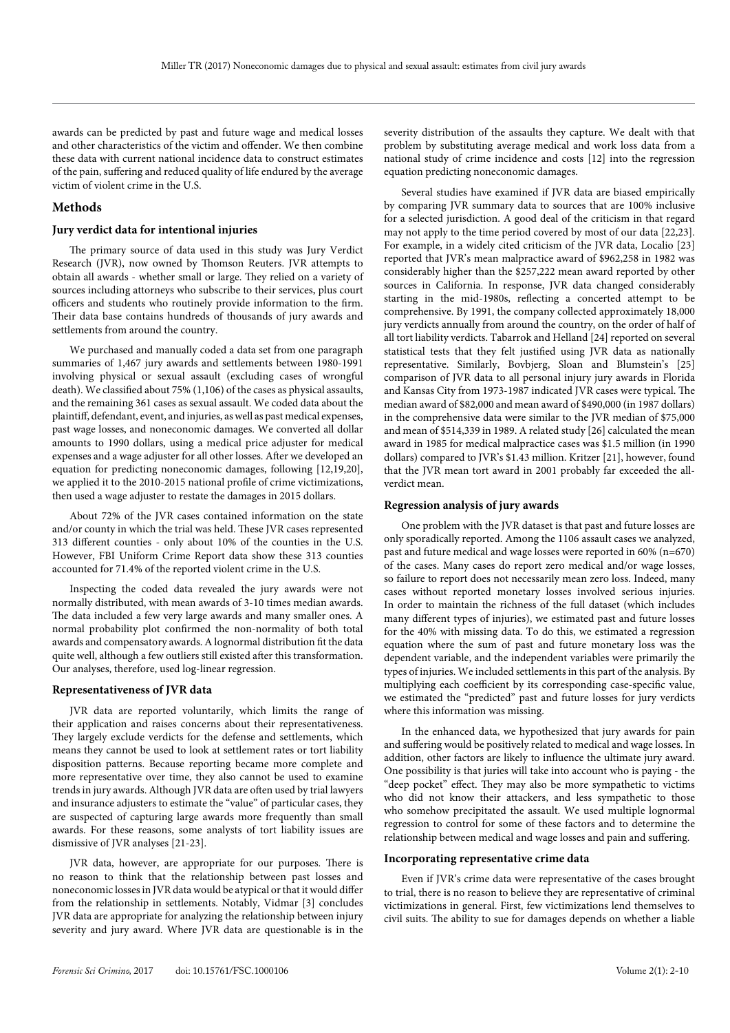awards can be predicted by past and future wage and medical losses and other characteristics of the victim and offender. We then combine these data with current national incidence data to construct estimates of the pain, suffering and reduced quality of life endured by the average victim of violent crime in the U.S.

# **Methods**

#### **Jury verdict data for intentional injuries**

The primary source of data used in this study was Jury Verdict Research (JVR), now owned by Thomson Reuters. JVR attempts to obtain all awards - whether small or large. They relied on a variety of sources including attorneys who subscribe to their services, plus court officers and students who routinely provide information to the firm. Their data base contains hundreds of thousands of jury awards and settlements from around the country.

We purchased and manually coded a data set from one paragraph summaries of 1,467 jury awards and settlements between 1980-1991 involving physical or sexual assault (excluding cases of wrongful death). We classified about 75% (1,106) of the cases as physical assaults, and the remaining 361 cases as sexual assault. We coded data about the plaintiff, defendant, event, and injuries, as well as past medical expenses, past wage losses, and noneconomic damages. We converted all dollar amounts to 1990 dollars, using a medical price adjuster for medical expenses and a wage adjuster for all other losses. After we developed an equation for predicting noneconomic damages, following [12,19,20], we applied it to the 2010-2015 national profile of crime victimizations, then used a wage adjuster to restate the damages in 2015 dollars.

About 72% of the JVR cases contained information on the state and/or county in which the trial was held. These JVR cases represented 313 different counties - only about 10% of the counties in the U.S. However, FBI Uniform Crime Report data show these 313 counties accounted for 71.4% of the reported violent crime in the U.S.

Inspecting the coded data revealed the jury awards were not normally distributed, with mean awards of 3-10 times median awards. The data included a few very large awards and many smaller ones. A normal probability plot confirmed the non-normality of both total awards and compensatory awards. A lognormal distribution fit the data quite well, although a few outliers still existed after this transformation. Our analyses, therefore, used log-linear regression.

### **Representativeness of JVR data**

JVR data are reported voluntarily, which limits the range of their application and raises concerns about their representativeness. They largely exclude verdicts for the defense and settlements, which means they cannot be used to look at settlement rates or tort liability disposition patterns. Because reporting became more complete and more representative over time, they also cannot be used to examine trends in jury awards. Although JVR data are often used by trial lawyers and insurance adjusters to estimate the "value" of particular cases, they are suspected of capturing large awards more frequently than small awards. For these reasons, some analysts of tort liability issues are dismissive of JVR analyses [21-23].

JVR data, however, are appropriate for our purposes. There is no reason to think that the relationship between past losses and noneconomic losses in JVR data would be atypical or that it would differ from the relationship in settlements. Notably, Vidmar [3] concludes JVR data are appropriate for analyzing the relationship between injury severity and jury award. Where JVR data are questionable is in the severity distribution of the assaults they capture. We dealt with that problem by substituting average medical and work loss data from a national study of crime incidence and costs [12] into the regression equation predicting noneconomic damages.

Several studies have examined if JVR data are biased empirically by comparing JVR summary data to sources that are 100% inclusive for a selected jurisdiction. A good deal of the criticism in that regard may not apply to the time period covered by most of our data [22,23]. For example, in a widely cited criticism of the JVR data, Localio [23] reported that JVR's mean malpractice award of \$962,258 in 1982 was considerably higher than the \$257,222 mean award reported by other sources in California. In response, JVR data changed considerably starting in the mid-1980s, reflecting a concerted attempt to be comprehensive. By 1991, the company collected approximately 18,000 jury verdicts annually from around the country, on the order of half of all tort liability verdicts. Tabarrok and Helland [24] reported on several statistical tests that they felt justified using JVR data as nationally representative. Similarly, Bovbjerg, Sloan and Blumstein's [25] comparison of JVR data to all personal injury jury awards in Florida and Kansas City from 1973-1987 indicated JVR cases were typical. The median award of \$82,000 and mean award of \$490,000 (in 1987 dollars) in the comprehensive data were similar to the JVR median of \$75,000 and mean of \$514,339 in 1989. A related study [26] calculated the mean award in 1985 for medical malpractice cases was \$1.5 million (in 1990 dollars) compared to JVR's \$1.43 million. Kritzer [21], however, found that the JVR mean tort award in 2001 probably far exceeded the allverdict mean.

# **Regression analysis of jury awards**

One problem with the JVR dataset is that past and future losses are only sporadically reported. Among the 1106 assault cases we analyzed, past and future medical and wage losses were reported in 60% (n=670) of the cases. Many cases do report zero medical and/or wage losses, so failure to report does not necessarily mean zero loss. Indeed, many cases without reported monetary losses involved serious injuries. In order to maintain the richness of the full dataset (which includes many different types of injuries), we estimated past and future losses for the 40% with missing data. To do this, we estimated a regression equation where the sum of past and future monetary loss was the dependent variable, and the independent variables were primarily the types of injuries. We included settlements in this part of the analysis. By multiplying each coefficient by its corresponding case-specific value, we estimated the "predicted" past and future losses for jury verdicts where this information was missing.

In the enhanced data, we hypothesized that jury awards for pain and suffering would be positively related to medical and wage losses. In addition, other factors are likely to influence the ultimate jury award. One possibility is that juries will take into account who is paying - the "deep pocket" effect. They may also be more sympathetic to victims who did not know their attackers, and less sympathetic to those who somehow precipitated the assault. We used multiple lognormal regression to control for some of these factors and to determine the relationship between medical and wage losses and pain and suffering.

#### **Incorporating representative crime data**

Even if JVR's crime data were representative of the cases brought to trial, there is no reason to believe they are representative of criminal victimizations in general. First, few victimizations lend themselves to civil suits. The ability to sue for damages depends on whether a liable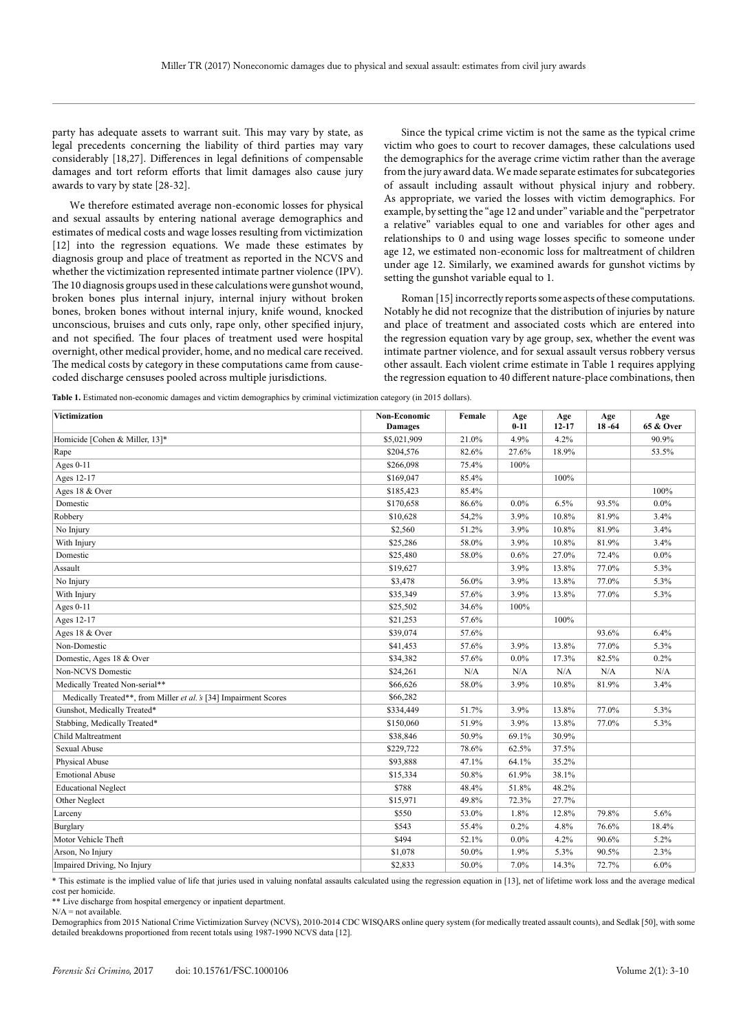party has adequate assets to warrant suit. This may vary by state, as legal precedents concerning the liability of third parties may vary considerably [18,27]. Differences in legal definitions of compensable damages and tort reform efforts that limit damages also cause jury awards to vary by state [28-32].

We therefore estimated average non-economic losses for physical and sexual assaults by entering national average demographics and estimates of medical costs and wage losses resulting from victimization [12] into the regression equations. We made these estimates by diagnosis group and place of treatment as reported in the NCVS and whether the victimization represented intimate partner violence (IPV). The 10 diagnosis groups used in these calculations were gunshot wound, broken bones plus internal injury, internal injury without broken bones, broken bones without internal injury, knife wound, knocked unconscious, bruises and cuts only, rape only, other specified injury, and not specified. The four places of treatment used were hospital overnight, other medical provider, home, and no medical care received. The medical costs by category in these computations came from causecoded discharge censuses pooled across multiple jurisdictions.

Since the typical crime victim is not the same as the typical crime victim who goes to court to recover damages, these calculations used the demographics for the average crime victim rather than the average from the jury award data. We made separate estimates for subcategories of assault including assault without physical injury and robbery. As appropriate, we varied the losses with victim demographics. For example, by setting the "age 12 and under" variable and the "perpetrator a relative" variables equal to one and variables for other ages and relationships to 0 and using wage losses specific to someone under age 12, we estimated non-economic loss for maltreatment of children under age 12. Similarly, we examined awards for gunshot victims by setting the gunshot variable equal to 1.

Roman [15] incorrectly reports some aspects of these computations. Notably he did not recognize that the distribution of injuries by nature and place of treatment and associated costs which are entered into the regression equation vary by age group, sex, whether the event was intimate partner violence, and for sexual assault versus robbery versus other assault. Each violent crime estimate in Table 1 requires applying the regression equation to 40 different nature-place combinations, then

**Table 1.** Estimated non-economic damages and victim demographics by criminal victimization category (in 2015 dollars).

| Victimization                                                     | Non-Economic<br><b>Damages</b> | Female | Age<br>$0 - 11$ | Age<br>$12 - 17$ | Age<br>$18 - 64$ | Age<br><b>65 &amp; Over</b> |
|-------------------------------------------------------------------|--------------------------------|--------|-----------------|------------------|------------------|-----------------------------|
| Homicide [Cohen & Miller, 13]*                                    | \$5,021,909                    | 21.0%  | 4.9%            | 4.2%             |                  | 90.9%                       |
| Rape                                                              | \$204,576                      | 82.6%  | 27.6%           | 18.9%            |                  | 53.5%                       |
| Ages $0-11$                                                       | \$266,098                      | 75.4%  | 100%            |                  |                  |                             |
| Ages 12-17                                                        | \$169,047                      | 85.4%  |                 | 100%             |                  |                             |
| Ages 18 & Over                                                    | \$185,423                      | 85.4%  |                 |                  |                  | 100%                        |
| Domestic                                                          | \$170,658                      | 86.6%  | $0.0\%$         | 6.5%             | 93.5%            | 0.0%                        |
| Robbery                                                           | \$10,628                       | 54,2%  | 3.9%            | 10.8%            | 81.9%            | 3.4%                        |
| No Injury                                                         | \$2,560                        | 51.2%  | 3.9%            | 10.8%            | 81.9%            | 3.4%                        |
| With Injury                                                       | \$25,286                       | 58.0%  | 3.9%            | 10.8%            | 81.9%            | 3.4%                        |
| Domestic                                                          | \$25,480                       | 58.0%  | 0.6%            | 27.0%            | 72.4%            | 0.0%                        |
| Assault                                                           | \$19,627                       |        | 3.9%            | 13.8%            | 77.0%            | 5.3%                        |
| No Injury                                                         | \$3,478                        | 56.0%  | 3.9%            | 13.8%            | 77.0%            | 5.3%                        |
| With Injury                                                       | \$35,349                       | 57.6%  | 3.9%            | 13.8%            | 77.0%            | 5.3%                        |
| Ages $0-11$                                                       | \$25,502                       | 34.6%  | 100%            |                  |                  |                             |
| Ages 12-17                                                        | \$21,253                       | 57.6%  |                 | 100%             |                  |                             |
| Ages 18 & Over                                                    | \$39,074                       | 57.6%  |                 |                  | 93.6%            | 6.4%                        |
| Non-Domestic                                                      | \$41,453                       | 57.6%  | 3.9%            | 13.8%            | 77.0%            | 5.3%                        |
| Domestic, Ages 18 & Over                                          | \$34,382                       | 57.6%  | $0.0\%$         | 17.3%            | 82.5%            | 0.2%                        |
| Non-NCVS Domestic                                                 | \$24,261                       | N/A    | N/A             | N/A              | N/A              | N/A                         |
| Medically Treated Non-serial**                                    | \$66,626                       | 58.0%  | 3.9%            | 10.8%            | 81.9%            | 3.4%                        |
| Medically Treated**, from Miller et al. 's [34] Impairment Scores | \$66,282                       |        |                 |                  |                  |                             |
| Gunshot, Medically Treated*                                       | \$334,449                      | 51.7%  | 3.9%            | 13.8%            | 77.0%            | 5.3%                        |
| Stabbing, Medically Treated*                                      | \$150,060                      | 51.9%  | 3.9%            | 13.8%            | 77.0%            | 5.3%                        |
| Child Maltreatment                                                | \$38,846                       | 50.9%  | 69.1%           | 30.9%            |                  |                             |
| <b>Sexual Abuse</b>                                               | \$229,722                      | 78.6%  | 62.5%           | 37.5%            |                  |                             |
| Physical Abuse                                                    | \$93,888                       | 47.1%  | 64.1%           | 35.2%            |                  |                             |
| <b>Emotional Abuse</b>                                            | \$15,334                       | 50.8%  | 61.9%           | 38.1%            |                  |                             |
| <b>Educational Neglect</b>                                        | \$788                          | 48.4%  | 51.8%           | 48.2%            |                  |                             |
| Other Neglect                                                     | \$15,971                       | 49.8%  | 72.3%           | 27.7%            |                  |                             |
| Larceny                                                           | \$550                          | 53.0%  | 1.8%            | 12.8%            | 79.8%            | 5.6%                        |
| Burglary                                                          | \$543                          | 55.4%  | 0.2%            | 4.8%             | 76.6%            | 18.4%                       |
| Motor Vehicle Theft                                               | \$494                          | 52.1%  | $0.0\%$         | 4.2%             | 90.6%            | 5.2%                        |
| Arson, No Injury                                                  | \$1,078                        | 50.0%  | 1.9%            | 5.3%             | 90.5%            | 2.3%                        |
| Impaired Driving, No Injury                                       | \$2,833                        | 50.0%  | 7.0%            | 14.3%            | 72.7%            | 6.0%                        |

\* This estimate is the implied value of life that juries used in valuing nonfatal assaults calculated using the regression equation in [13], net of lifetime work loss and the average medical cost per homicide.

\*\* Live discharge from hospital emergency or inpatient department.

 $N/A$  = not available.

Demographics from 2015 National Crime Victimization Survey (NCVS), 2010-2014 CDC WISQARS online query system (for medically treated assault counts), and Sedlak [50], with some detailed breakdowns proportioned from recent totals using 1987-1990 NCVS data [12].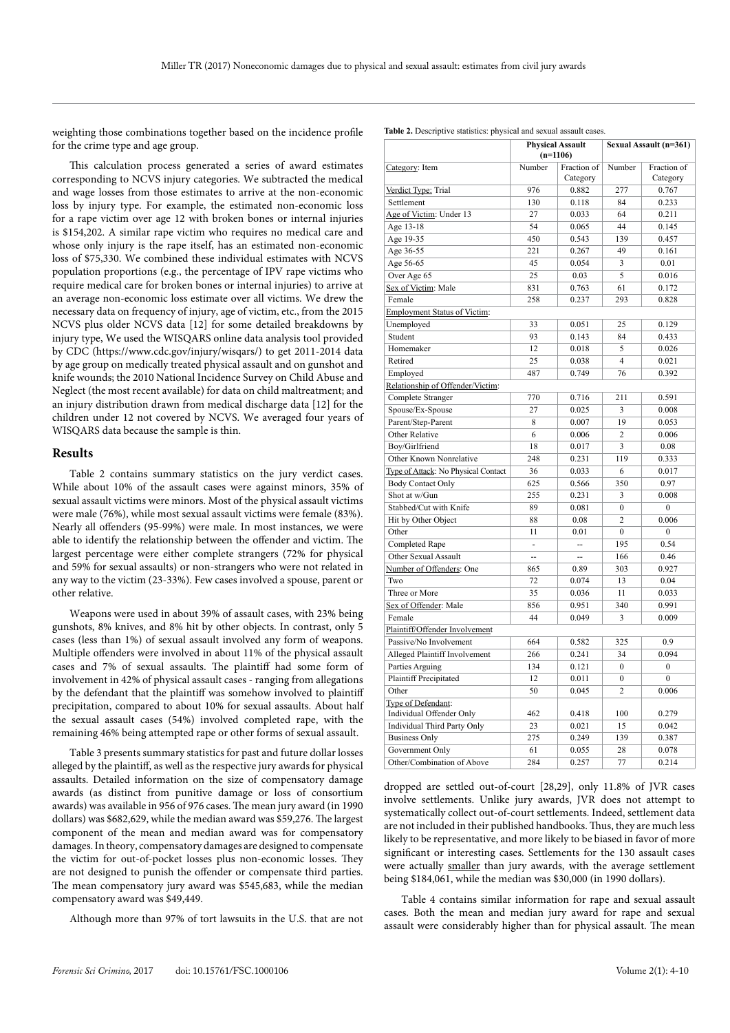weighting those combinations together based on the incidence profile for the crime type and age group.

This calculation process generated a series of award estimates corresponding to NCVS injury categories. We subtracted the medical and wage losses from those estimates to arrive at the non-economic loss by injury type. For example, the estimated non-economic loss for a rape victim over age 12 with broken bones or internal injuries is \$154,202. A similar rape victim who requires no medical care and whose only injury is the rape itself, has an estimated non-economic loss of \$75,330. We combined these individual estimates with NCVS population proportions (e.g., the percentage of IPV rape victims who require medical care for broken bones or internal injuries) to arrive at an average non-economic loss estimate over all victims. We drew the necessary data on frequency of injury, age of victim, etc., from the 2015 NCVS plus older NCVS data [12] for some detailed breakdowns by injury type, We used the WISQARS online data analysis tool provided by CDC (https://www.cdc.gov/injury/wisqars/) to get 2011-2014 data by age group on medically treated physical assault and on gunshot and knife wounds; the 2010 National Incidence Survey on Child Abuse and Neglect (the most recent available) for data on child maltreatment; and an injury distribution drawn from medical discharge data [12] for the children under 12 not covered by NCVS. We averaged four years of WISQARS data because the sample is thin.

#### **Results**

Table 2 contains summary statistics on the jury verdict cases. While about 10% of the assault cases were against minors, 35% of sexual assault victims were minors. Most of the physical assault victims were male (76%), while most sexual assault victims were female (83%). Nearly all offenders (95-99%) were male. In most instances, we were able to identify the relationship between the offender and victim. The largest percentage were either complete strangers (72% for physical and 59% for sexual assaults) or non-strangers who were not related in any way to the victim (23-33%). Few cases involved a spouse, parent or other relative.

Weapons were used in about 39% of assault cases, with 23% being gunshots, 8% knives, and 8% hit by other objects. In contrast, only 5 cases (less than 1%) of sexual assault involved any form of weapons. Multiple offenders were involved in about 11% of the physical assault cases and 7% of sexual assaults. The plaintiff had some form of involvement in 42% of physical assault cases - ranging from allegations by the defendant that the plaintiff was somehow involved to plaintiff precipitation, compared to about 10% for sexual assaults. About half the sexual assault cases (54%) involved completed rape, with the remaining 46% being attempted rape or other forms of sexual assault.

Table 3 presents summary statistics for past and future dollar losses alleged by the plaintiff, as well as the respective jury awards for physical assaults. Detailed information on the size of compensatory damage awards (as distinct from punitive damage or loss of consortium awards) was available in 956 of 976 cases. The mean jury award (in 1990 dollars) was \$682,629, while the median award was \$59,276. The largest component of the mean and median award was for compensatory damages. In theory, compensatory damages are designed to compensate the victim for out-of-pocket losses plus non-economic losses. They are not designed to punish the offender or compensate third parties. The mean compensatory jury award was \$545,683, while the median compensatory award was \$49,449.

Although more than 97% of tort lawsuits in the U.S. that are not

|                                                  | Physical Assault<br>$(n=1106)$ |                | Sexual Assault (n=301) |                |  |
|--------------------------------------------------|--------------------------------|----------------|------------------------|----------------|--|
|                                                  | Number                         | Fraction of    | Number                 | Fraction of    |  |
| Category: Item                                   |                                | Category       |                        | Category       |  |
| Verdict Type: Trial                              | 976                            | 0.882          | 277                    | 0.767          |  |
| Settlement                                       | 130                            | 0.118          | 84                     | 0.233          |  |
| Age of Victim: Under 13                          | 27                             | 0.033          | 64                     | 0.211          |  |
| Age 13-18                                        | 54                             | 0.065          | 44                     | 0.145          |  |
|                                                  |                                |                |                        |                |  |
| Age 19-35                                        | 450                            | 0.543          | 139                    | 0.457          |  |
| Age 36-55                                        | 221                            | 0.267          | 49                     | 0.161          |  |
| Age 56-65                                        | 45                             | 0.054          | 3                      | 0.01           |  |
| Over Age 65                                      | 25                             | 0.03           | 5                      | 0.016          |  |
| Sex of Victim: Male                              | 831                            | 0.763          | 61                     | 0.172          |  |
| Female                                           | 258                            | 0.237          | 293                    | 0.828          |  |
| <b>Employment Status of Victim:</b>              |                                |                |                        |                |  |
| Unemployed                                       | 33                             | 0.051          | 25                     | 0.129          |  |
| Student                                          | 93                             | 0.143          | 84                     | 0.433          |  |
| Homemaker                                        | 12                             | 0.018          | 5                      | 0.026          |  |
| Retired                                          | 25                             | 0.038          | $\overline{4}$         | 0.021          |  |
| Employed                                         | 487                            | 0.749          | 76                     | 0.392          |  |
| Relationship of Offender/Victim:                 |                                |                |                        |                |  |
| Complete Stranger                                | 770                            | 0.716          | 211                    | 0.591          |  |
| Spouse/Ex-Spouse                                 | 27                             | 0.025          | 3                      | 0.008          |  |
| Parent/Step-Parent                               | 8                              | 0.007          | 19                     | 0.053          |  |
| Other Relative                                   | 6                              | 0.006          | $\overline{c}$         | 0.006          |  |
| Boy/Girlfriend                                   | 18                             | 0.017          | 3                      | 0.08           |  |
| Other Known Nonrelative                          | 248                            | 0.231          | 119                    | 0.333          |  |
| Type of Attack: No Physical Contact              | 36                             | 0.033          | 6                      | 0.017          |  |
| <b>Body Contact Only</b>                         | 625                            | 0.566          | 350                    | 0.97           |  |
| Shot at w/Gun                                    | 255                            | 0.231          | 3                      | 0.008          |  |
| Stabbed/Cut with Knife                           | 89                             | 0.081          | $\mathbf{0}$           | $\overline{0}$ |  |
| Hit by Other Object                              | 88                             | 0.08           | $\overline{c}$         | 0.006          |  |
| Other                                            | 11                             | $0.01\,$       | $\mathbf{0}$           | $\mathbf{0}$   |  |
| Completed Rape                                   | ÷                              | $\overline{a}$ | 195                    | 0.54           |  |
| Other Sexual Assault                             | $\ddot{\phantom{a}}$           | --             | 166                    | 0.46           |  |
| Number of Offenders: One                         | 865                            | 0.89           | 303                    | 0.927          |  |
| Two                                              | 72                             | 0.074          | 13                     | 0.04           |  |
| Three or More                                    | 35                             | 0.036          | 11                     | 0.033          |  |
| Sex of Offender: Male                            | 856                            | 0.951          | 340                    | 0.991          |  |
| Female                                           | 44                             | 0.049          | 3                      | 0.009          |  |
| Plaintiff/Offender Involvement                   |                                |                |                        |                |  |
| Passive/No Involvement                           | 664                            | 0.582          | 325                    | 0.9            |  |
| <b>Alleged Plaintiff Involvement</b>             | 266                            | 0.241          | 34                     | 0.094          |  |
|                                                  | 134                            | 0.121          | $\mathbf{0}$           | $\mathbf{0}$   |  |
| Parties Arguing<br><b>Plaintiff Precipitated</b> | 12                             | 0.011          | $\mathbf{0}$           | $\mathbf{0}$   |  |
| Other                                            | 50                             | 0.045          | $\overline{c}$         | 0.006          |  |
|                                                  |                                |                |                        |                |  |
| Type of Defendant:<br>Individual Offender Only   | 462                            | 0.418          | 100                    | 0.279          |  |
| Individual Third Party Only                      | 23                             | 0.021          | 15                     | 0.042          |  |
| <b>Business Only</b>                             | 275                            | 0.249          | 139                    | 0.387          |  |
| Government Only                                  | 61                             | 0.055          | 28                     | 0.078          |  |
|                                                  | 284                            |                | 77                     |                |  |
| Other/Combination of Above                       |                                | 0.257          |                        | 0.214          |  |

dropped are settled out-of-court [28,29], only 11.8% of JVR cases involve settlements. Unlike jury awards, JVR does not attempt to systematically collect out-of-court settlements. Indeed, settlement data are not included in their published handbooks. Thus, they are much less likely to be representative, and more likely to be biased in favor of more significant or interesting cases. Settlements for the 130 assault cases were actually smaller than jury awards, with the average settlement being \$184,061, while the median was \$30,000 (in 1990 dollars).

Table 4 contains similar information for rape and sexual assault cases. Both the mean and median jury award for rape and sexual assault were considerably higher than for physical assault. The mean

**Sexual Assault (n=361) Table 2.** Descriptive statistics: physical and sexual assault cases.

**Physical Assault**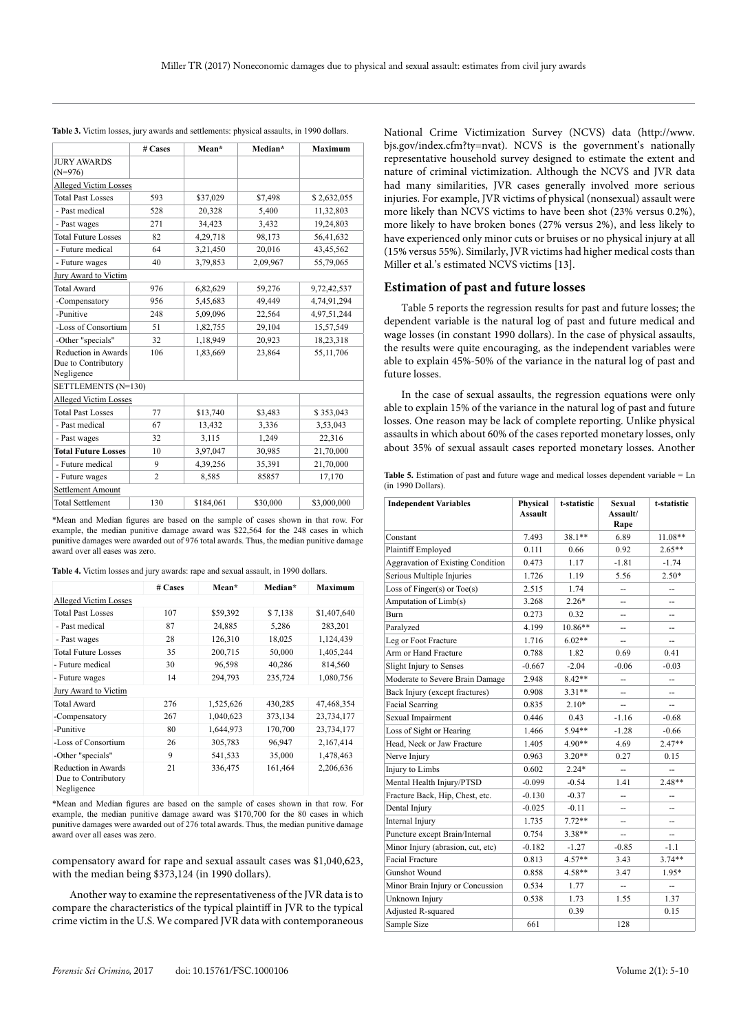|                                                          | # Cases        | Mean*     | Median*  | <b>Maximum</b> |
|----------------------------------------------------------|----------------|-----------|----------|----------------|
| <b>JURY AWARDS</b><br>$(N=976)$                          |                |           |          |                |
| <b>Alleged Victim Losses</b>                             |                |           |          |                |
| <b>Total Past Losses</b>                                 | 593            | \$37,029  | \$7,498  | \$2,632,055    |
| - Past medical                                           | 528            | 20,328    | 5,400    | 11,32,803      |
| - Past wages                                             | 271            | 34,423    | 3,432    | 19,24,803      |
| <b>Total Future Losses</b>                               | 82             | 4,29,718  | 98,173   | 56,41,632      |
| - Future medical                                         | 64             | 3,21,450  | 20,016   | 43,45,562      |
| - Future wages                                           | 40             | 3,79,853  | 2,09,967 | 55,79,065      |
| Jury Award to Victim                                     |                |           |          |                |
| <b>Total Award</b>                                       | 976            | 6,82,629  | 59,276   | 9,72,42,537    |
| -Compensatory                                            | 956            | 5,45,683  | 49,449   | 4,74,91,294    |
| -Punitive                                                | 248            | 5,09,096  | 22,564   | 4,97,51,244    |
| -Loss of Consortium                                      | 51             | 1,82,755  | 29,104   | 15,57,549      |
| -Other "specials"                                        | 32             | 1,18,949  | 20,923   | 18,23,318      |
| Reduction in Awards<br>Due to Contributory<br>Negligence | 106            | 1,83,669  | 23,864   | 55,11,706      |
| SETTLEMENTS (N=130)                                      |                |           |          |                |
| <b>Alleged Victim Losses</b>                             |                |           |          |                |
| <b>Total Past Losses</b>                                 | 77             | \$13,740  | \$3,483  | \$353,043      |
| - Past medical                                           | 67             | 13,432    | 3,336    | 3,53,043       |
| - Past wages                                             | 32             | 3,115     | 1,249    | 22,316         |
| <b>Total Future Losses</b>                               | 10             | 3,97,047  | 30,985   | 21,70,000      |
| - Future medical                                         | 9              | 4,39,256  | 35,391   | 21,70,000      |
| - Future wages                                           | $\overline{c}$ | 8,585     | 85857    | 17,170         |
| <b>Settlement Amount</b>                                 |                |           |          |                |
| <b>Total Settlement</b>                                  | 130            | \$184,061 | \$30,000 | \$3,000,000    |

**Table 3.** Victim losses, jury awards and settlements: physical assaults, in 1990 dollars.

\*Mean and Median figures are based on the sample of cases shown in that row. For example, the median punitive damage award was \$22,564 for the 248 cases in which punitive damages were awarded out of 976 total awards. Thus, the median punitive damage award over all eases was zero.

|                                                                 | # Cases | Mean*     | Median* | <b>Maximum</b> |
|-----------------------------------------------------------------|---------|-----------|---------|----------------|
| <b>Alleged Victim Losses</b>                                    |         |           |         |                |
| <b>Total Past Losses</b>                                        | 107     | \$59,392  | \$7,138 | \$1,407,640    |
| - Past medical                                                  | 87      | 24,885    | 5,286   | 283,201        |
| - Past wages                                                    | 28      | 126,310   | 18,025  | 1,124,439      |
| <b>Total Future Losses</b>                                      | 35      | 200,715   | 50,000  | 1,405,244      |
| - Future medical                                                | 30      | 96,598    | 40,286  | 814,560        |
| - Future wages                                                  | 14      | 294,793   | 235,724 | 1,080,756      |
| Jury Award to Victim                                            |         |           |         |                |
| <b>Total Award</b>                                              | 276     | 1,525,626 | 430,285 | 47,468,354     |
| -Compensatory                                                   | 267     | 1,040,623 | 373,134 | 23,734,177     |
| -Punitive                                                       | 80      | 1,644,973 | 170,700 | 23,734,177     |
| -Loss of Consortium                                             | 26      | 305,783   | 96,947  | 2,167,414      |
| -Other "specials"                                               | 9       | 541,533   | 35,000  | 1,478,463      |
| <b>Reduction in Awards</b><br>Due to Contributory<br>Negligence | 21      | 336,475   | 161,464 | 2,206,636      |

**Table 4.** Victim losses and jury awards: rape and sexual assault, in 1990 dollars.

\*Mean and Median figures are based on the sample of cases shown in that row. For example, the median punitive damage award was \$170,700 for the 80 cases in which punitive damages were awarded out of 276 total awards. Thus, the median punitive damage award over all eases was zero.

compensatory award for rape and sexual assault cases was \$1,040,623, with the median being \$373,124 (in 1990 dollars).

Another way to examine the representativeness of the JVR data is to compare the characteristics of the typical plaintiff in JVR to the typical crime victim in the U.S. We compared JVR data with contemporaneous National Crime Victimization Survey (NCVS) data (http://www. bjs.gov/index.cfm?ty=nvat). NCVS is the government's nationally representative household survey designed to estimate the extent and nature of criminal victimization. Although the NCVS and JVR data had many similarities, JVR cases generally involved more serious injuries. For example, JVR victims of physical (nonsexual) assault were more likely than NCVS victims to have been shot (23% versus 0.2%), more likely to have broken bones (27% versus 2%), and less likely to have experienced only minor cuts or bruises or no physical injury at all (15% versus 55%). Similarly, JVR victims had higher medical costs than Miller et al.'s estimated NCVS victims [13].

# **Estimation of past and future losses**

Table 5 reports the regression results for past and future losses; the dependent variable is the natural log of past and future medical and wage losses (in constant 1990 dollars). In the case of physical assaults, the results were quite encouraging, as the independent variables were able to explain 45%-50% of the variance in the natural log of past and future losses.

In the case of sexual assaults, the regression equations were only able to explain 15% of the variance in the natural log of past and future losses. One reason may be lack of complete reporting. Unlike physical assaults in which about 60% of the cases reported monetary losses, only about 35% of sexual assault cases reported monetary losses. Another

Table 5. Estimation of past and future wage and medical losses dependent variable = Ln (in 1990 Dollars).

| <b>Independent Variables</b>      | Physical<br><b>Assault</b> | t-statistic | <b>Sexual</b><br>Assault/<br>Rape | t-statistic |
|-----------------------------------|----------------------------|-------------|-----------------------------------|-------------|
| Constant                          | 7.493                      | 38.1**      | 6.89                              | $11.08**$   |
| Plaintiff Employed                | 0.111                      | 0.66        | 0.92                              | $2.65**$    |
| Aggravation of Existing Condition | 0.473                      | 1.17        | $-1.81$                           | $-1.74$     |
| Serious Multiple Injuries         | 1.726                      | 1.19        | 5.56                              | $2.50*$     |
| Loss of Finger(s) or $Toe(s)$     | 2.515                      | 1.74        | -−                                | --          |
| Amputation of Limb(s)             | 3.268                      | $2.26*$     | --                                | --          |
| <b>Burn</b>                       | 0.273                      | 0.32        | --                                |             |
| Paralyzed                         | 4.199                      | $10.86**$   | --                                | --          |
| Leg or Foot Fracture              | 1.716                      | $6.02**$    | --                                |             |
| Arm or Hand Fracture              | 0.788                      | 1.82        | 0.69                              | 0.41        |
| Slight Injury to Senses           | $-0.667$                   | $-2.04$     | $-0.06$                           | $-0.03$     |
| Moderate to Severe Brain Damage   | 2.948                      | $8.42**$    | $\overline{a}$                    | -−          |
| Back Injury (except fractures)    | 0.908                      | $3.31**$    | --                                |             |
| <b>Facial Scarring</b>            | 0.835                      | $2.10*$     | --                                |             |
| Sexual Impairment                 | 0.446                      | 0.43        | $-1.16$                           | $-0.68$     |
| Loss of Sight or Hearing          | 1.466                      | 5.94**      | $-1.28$                           | $-0.66$     |
| Head, Neck or Jaw Fracture        | 1.405                      | $4.90**$    | 4.69                              | $2.47**$    |
| Nerve Injury                      | 0.963                      | $3.20**$    | 0.27                              | 0.15        |
| Injury to Limbs                   | 0.602                      | $2.24*$     |                                   |             |
| Mental Health Injury/PTSD         | $-0.099$                   | $-0.54$     | 1.41                              | $2.48**$    |
| Fracture Back, Hip, Chest, etc.   | $-0.130$                   | $-0.37$     | --                                | --          |
| Dental Injury                     | $-0.025$                   | $-0.11$     | --                                |             |
| Internal Injury                   | 1.735                      | $7.72**$    | --                                | --          |
| Puncture except Brain/Internal    | 0.754                      | $3.38**$    | --                                |             |
| Minor Injury (abrasion, cut, etc) | $-0.182$                   | $-1.27$     | -0.85                             | $-1.1$      |
| <b>Facial Fracture</b>            | 0.813                      | $4.57**$    | 3.43                              | $3.74**$    |
| <b>Gunshot Wound</b>              | 0.858                      | 4.58**      | 3.47                              | $1.95*$     |
| Minor Brain Injury or Concussion  | 0.534                      | 1.77        |                                   |             |
| Unknown Injury                    | 0.538                      | 1.73        | 1.55                              | 1.37        |
| Adjusted R-squared                |                            | 0.39        |                                   | 0.15        |
| Sample Size                       | 661                        |             | 128                               |             |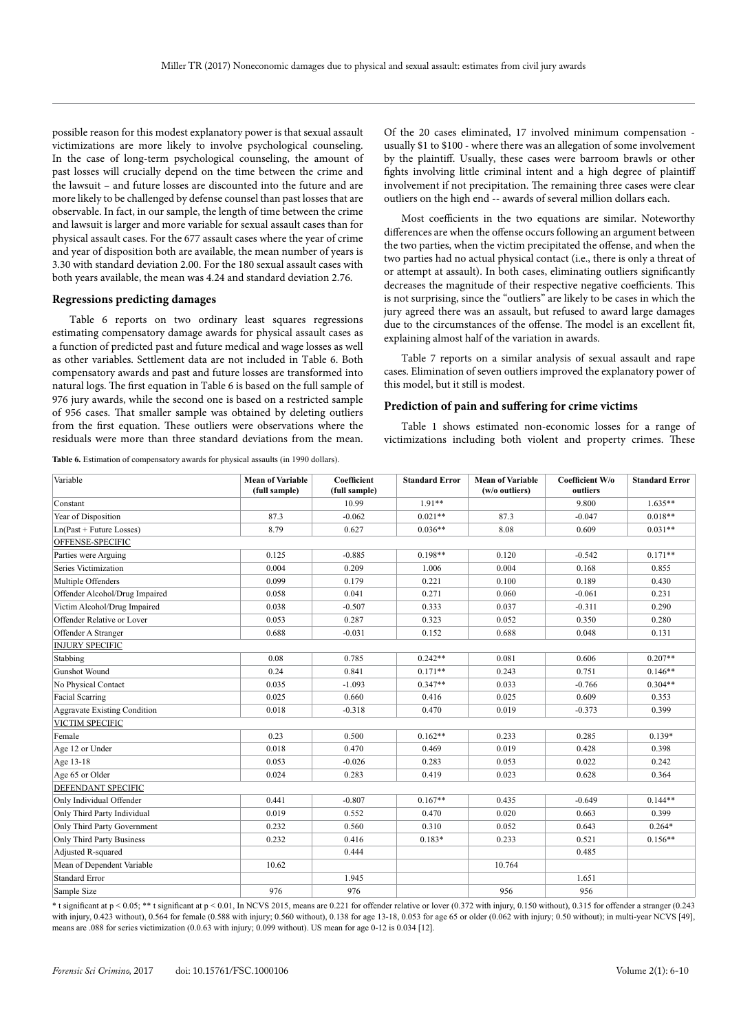possible reason for this modest explanatory power is that sexual assault victimizations are more likely to involve psychological counseling. In the case of long-term psychological counseling, the amount of past losses will crucially depend on the time between the crime and the lawsuit – and future losses are discounted into the future and are more likely to be challenged by defense counsel than past losses that are observable. In fact, in our sample, the length of time between the crime and lawsuit is larger and more variable for sexual assault cases than for physical assault cases. For the 677 assault cases where the year of crime and year of disposition both are available, the mean number of years is 3.30 with standard deviation 2.00. For the 180 sexual assault cases with both years available, the mean was 4.24 and standard deviation 2.76.

#### **Regressions predicting damages**

Table 6 reports on two ordinary least squares regressions estimating compensatory damage awards for physical assault cases as a function of predicted past and future medical and wage losses as well as other variables. Settlement data are not included in Table 6. Both compensatory awards and past and future losses are transformed into natural logs. The first equation in Table 6 is based on the full sample of 976 jury awards, while the second one is based on a restricted sample of 956 cases. That smaller sample was obtained by deleting outliers from the first equation. These outliers were observations where the residuals were more than three standard deviations from the mean.

**Table 6.** Estimation of compensatory awards for physical assaults (in 1990 dollars).

Of the 20 cases eliminated, 17 involved minimum compensation usually \$1 to \$100 - where there was an allegation of some involvement by the plaintiff. Usually, these cases were barroom brawls or other fights involving little criminal intent and a high degree of plaintiff involvement if not precipitation. The remaining three cases were clear outliers on the high end -- awards of several million dollars each.

Most coefficients in the two equations are similar. Noteworthy differences are when the offense occurs following an argument between the two parties, when the victim precipitated the offense, and when the two parties had no actual physical contact (i.e., there is only a threat of or attempt at assault). In both cases, eliminating outliers significantly decreases the magnitude of their respective negative coefficients. This is not surprising, since the "outliers" are likely to be cases in which the jury agreed there was an assault, but refused to award large damages due to the circumstances of the offense. The model is an excellent fit, explaining almost half of the variation in awards.

Table 7 reports on a similar analysis of sexual assault and rape cases. Elimination of seven outliers improved the explanatory power of this model, but it still is modest.

#### **Prediction of pain and suffering for crime victims**

Table 1 shows estimated non-economic losses for a range of victimizations including both violent and property crimes. These

| Variable                            | <b>Mean of Variable</b><br>(full sample) | Coefficient<br>(full sample) | <b>Standard Error</b> | <b>Mean of Variable</b><br>(w/o outliers) | Coefficient W/o<br>outliers | <b>Standard Error</b> |
|-------------------------------------|------------------------------------------|------------------------------|-----------------------|-------------------------------------------|-----------------------------|-----------------------|
| Constant                            |                                          | 10.99                        | $1.91**$              |                                           | 9.800                       | $1.635**$             |
| Year of Disposition                 | 87.3                                     | $-0.062$                     | $0.021**$             | 87.3                                      | $-0.047$                    | $0.018**$             |
| $Ln(Past + Future Losses)$          | 8.79                                     | 0.627                        | $0.036**$             | 8.08                                      | 0.609                       | $0.031**$             |
| OFFENSE-SPECIFIC                    |                                          |                              |                       |                                           |                             |                       |
| Parties were Arguing                | 0.125                                    | $-0.885$                     | $0.198**$             | 0.120                                     | $-0.542$                    | $0.171**$             |
| Series Victimization                | 0.004                                    | 0.209                        | 1.006                 | 0.004                                     | 0.168                       | 0.855                 |
| Multiple Offenders                  | 0.099                                    | 0.179                        | 0.221                 | 0.100                                     | 0.189                       | 0.430                 |
| Offender Alcohol/Drug Impaired      | 0.058                                    | 0.041                        | 0.271                 | 0.060                                     | $-0.061$                    | 0.231                 |
| Victim Alcohol/Drug Impaired        | 0.038                                    | $-0.507$                     | 0.333                 | 0.037                                     | $-0.311$                    | 0.290                 |
| Offender Relative or Lover          | 0.053                                    | 0.287                        | 0.323                 | 0.052                                     | 0.350                       | 0.280                 |
| Offender A Stranger                 | 0.688                                    | $-0.031$                     | 0.152                 | 0.688                                     | 0.048                       | 0.131                 |
| <b>INJURY SPECIFIC</b>              |                                          |                              |                       |                                           |                             |                       |
| Stabbing                            | 0.08                                     | 0.785                        | $0.242**$             | 0.081                                     | 0.606                       | $0.207**$             |
| <b>Gunshot Wound</b>                | 0.24                                     | 0.841                        | $0.171**$             | 0.243                                     | 0.751                       | $0.146**$             |
| No Physical Contact                 | 0.035                                    | $-1.093$                     | $0.347**$             | 0.033                                     | $-0.766$                    | $0.304**$             |
| <b>Facial Scarring</b>              | 0.025                                    | 0.660                        | 0.416                 | 0.025                                     | 0.609                       | 0.353                 |
| <b>Aggravate Existing Condition</b> | 0.018                                    | $-0.318$                     | 0.470                 | 0.019                                     | $-0.373$                    | 0.399                 |
| VICTIM SPECIFIC                     |                                          |                              |                       |                                           |                             |                       |
| Female                              | 0.23                                     | 0.500                        | $0.162**$             | 0.233                                     | 0.285                       | $0.139*$              |
| Age 12 or Under                     | 0.018                                    | 0.470                        | 0.469                 | 0.019                                     | 0.428                       | 0.398                 |
| Age 13-18                           | 0.053                                    | $-0.026$                     | 0.283                 | 0.053                                     | 0.022                       | 0.242                 |
| Age 65 or Older                     | 0.024                                    | 0.283                        | 0.419                 | 0.023                                     | 0.628                       | 0.364                 |
| DEFENDANT SPECIFIC                  |                                          |                              |                       |                                           |                             |                       |
| Only Individual Offender            | 0.441                                    | $-0.807$                     | $0.167**$             | 0.435                                     | $-0.649$                    | $0.144**$             |
| Only Third Party Individual         | 0.019                                    | 0.552                        | 0.470                 | 0.020                                     | 0.663                       | 0.399                 |
| Only Third Party Government         | 0.232                                    | 0.560                        | 0.310                 | 0.052                                     | 0.643                       | $0.264*$              |
| <b>Only Third Party Business</b>    | 0.232                                    | 0.416                        | $0.183*$              | 0.233                                     | 0.521                       | $0.156**$             |
| Adjusted R-squared                  |                                          | 0.444                        |                       |                                           | 0.485                       |                       |
| Mean of Dependent Variable          | 10.62                                    |                              |                       | 10.764                                    |                             |                       |
| <b>Standard Error</b>               |                                          | 1.945                        |                       |                                           | 1.651                       |                       |
| Sample Size                         | 976                                      | 976                          |                       | 956                                       | 956                         |                       |

\* t significant at p < 0.05; \*\* t significant at p < 0.01, In NCVS 2015, means are 0.221 for offender relative or lover (0.372 with injury, 0.150 without), 0.315 for offender a stranger (0.243 with injury, 0.423 without), 0.564 for female (0.588 with injury; 0.560 without), 0.138 for age 13-18, 0.053 for age 65 or older (0.062 with injury; 0.50 without); in multi-year NCVS [49], means are .088 for series victimization (0.0.63 with injury; 0.099 without). US mean for age 0-12 is 0.034 [12].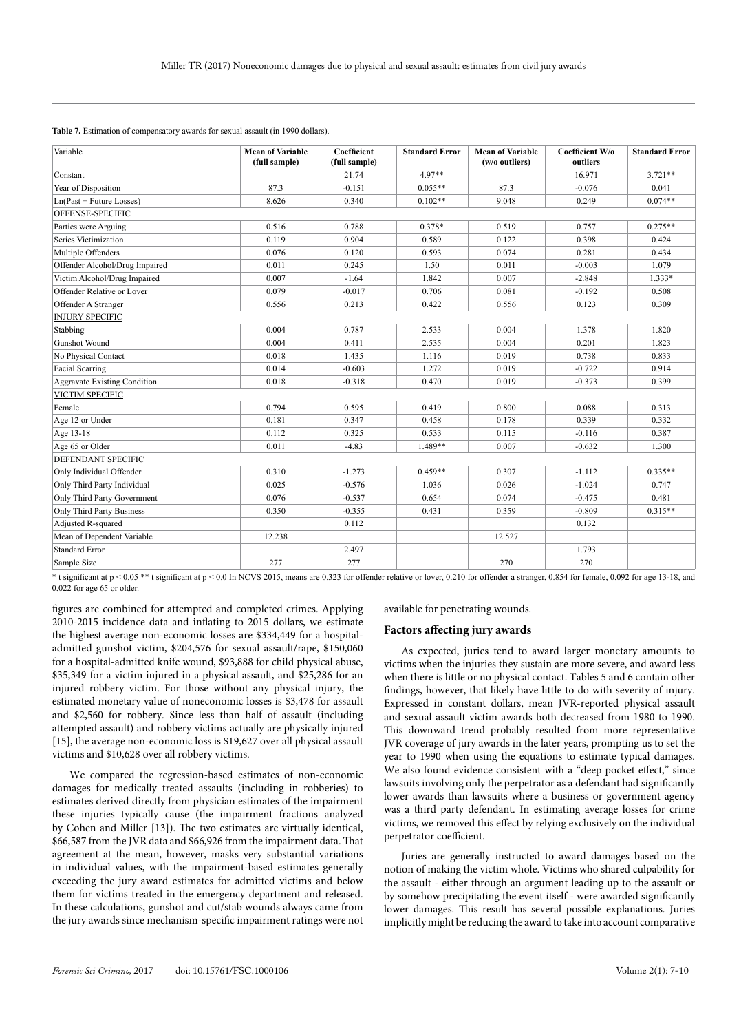|  | Table 7. Estimation of compensatory awards for sexual assault (in 1990 dollars). |  |
|--|----------------------------------------------------------------------------------|--|
|  |                                                                                  |  |

| Variable                            | <b>Mean of Variable</b><br>(full sample) | Coefficient<br>(full sample) | <b>Standard Error</b> | <b>Mean of Variable</b><br>(w/o outliers) | Coefficient W/o<br>outliers | <b>Standard Error</b> |
|-------------------------------------|------------------------------------------|------------------------------|-----------------------|-------------------------------------------|-----------------------------|-----------------------|
| Constant                            |                                          | 21.74                        | $4.97**$              |                                           | 16.971                      | $3.721**$             |
| Year of Disposition                 | 87.3                                     | $-0.151$                     | $0.055**$             | 87.3                                      | $-0.076$                    | 0.041                 |
| $Ln(Past + Future Losses)$          | 8.626                                    | 0.340                        | $0.102**$             | 9.048                                     | 0.249                       | $0.074**$             |
| OFFENSE-SPECIFIC                    |                                          |                              |                       |                                           |                             |                       |
| Parties were Arguing                | 0.516                                    | 0.788                        | 0.378*                | 0.519                                     | 0.757                       | $0.275**$             |
| Series Victimization                | 0.119                                    | 0.904                        | 0.589                 | 0.122                                     | 0.398                       | 0.424                 |
| Multiple Offenders                  | 0.076                                    | 0.120                        | 0.593                 | 0.074                                     | 0.281                       | 0.434                 |
| Offender Alcohol/Drug Impaired      | 0.011                                    | 0.245                        | 1.50                  | 0.011                                     | $-0.003$                    | 1.079                 |
| Victim Alcohol/Drug Impaired        | 0.007                                    | $-1.64$                      | 1.842                 | 0.007                                     | $-2.848$                    | $1.333*$              |
| Offender Relative or Lover          | 0.079                                    | $-0.017$                     | 0.706                 | 0.081                                     | $-0.192$                    | 0.508                 |
| Offender A Stranger                 | 0.556                                    | 0.213                        | 0.422                 | 0.556                                     | 0.123                       | 0.309                 |
| <b>INJURY SPECIFIC</b>              |                                          |                              |                       |                                           |                             |                       |
| Stabbing                            | 0.004                                    | 0.787                        | 2.533                 | 0.004                                     | 1.378                       | 1.820                 |
| Gunshot Wound                       | 0.004                                    | 0.411                        | 2.535                 | 0.004                                     | 0.201                       | 1.823                 |
| No Physical Contact                 | 0.018                                    | 1.435                        | 1.116                 | 0.019                                     | 0.738                       | 0.833                 |
| <b>Facial Scarring</b>              | 0.014                                    | $-0.603$                     | 1.272                 | 0.019                                     | $-0.722$                    | 0.914                 |
| <b>Aggravate Existing Condition</b> | 0.018                                    | $-0.318$                     | 0.470                 | 0.019                                     | $-0.373$                    | 0.399                 |
| VICTIM SPECIFIC                     |                                          |                              |                       |                                           |                             |                       |
| Female                              | 0.794                                    | 0.595                        | 0.419                 | 0.800                                     | 0.088                       | 0.313                 |
| Age 12 or Under                     | 0.181                                    | 0.347                        | 0.458                 | 0.178                                     | 0.339                       | 0.332                 |
| Age 13-18                           | 0.112                                    | 0.325                        | 0.533                 | 0.115                                     | $-0.116$                    | 0.387                 |
| Age 65 or Older                     | 0.011                                    | $-4.83$                      | 1.489**               | 0.007                                     | $-0.632$                    | 1.300                 |
| DEFENDANT SPECIFIC                  |                                          |                              |                       |                                           |                             |                       |
| Only Individual Offender            | 0.310                                    | $-1.273$                     | $0.459**$             | 0.307                                     | $-1.112$                    | $0.335**$             |
| Only Third Party Individual         | 0.025                                    | $-0.576$                     | 1.036                 | 0.026                                     | $-1.024$                    | 0.747                 |
| Only Third Party Government         | 0.076                                    | $-0.537$                     | 0.654                 | 0.074                                     | $-0.475$                    | 0.481                 |
| <b>Only Third Party Business</b>    | 0.350                                    | $-0.355$                     | 0.431                 | 0.359                                     | $-0.809$                    | $0.315**$             |
| Adjusted R-squared                  |                                          | 0.112                        |                       |                                           | 0.132                       |                       |
| Mean of Dependent Variable          | 12.238                                   |                              |                       | 12.527                                    |                             |                       |
| <b>Standard Error</b>               |                                          | 2.497                        |                       |                                           | 1.793                       |                       |
| Sample Size                         | 277                                      | 277                          |                       | 270                                       | 270                         |                       |

\* t significant at p < 0.05 \*\* t significant at p < 0.0 In NCVS 2015, means are 0.323 for offender relative or lover, 0.210 for offender a stranger, 0.854 for female, 0.092 for age 13-18, and 0.022 for age 65 or older.

figures are combined for attempted and completed crimes. Applying 2010-2015 incidence data and inflating to 2015 dollars, we estimate the highest average non-economic losses are \$334,449 for a hospitaladmitted gunshot victim, \$204,576 for sexual assault/rape, \$150,060 for a hospital-admitted knife wound, \$93,888 for child physical abuse, \$35,349 for a victim injured in a physical assault, and \$25,286 for an injured robbery victim. For those without any physical injury, the estimated monetary value of noneconomic losses is \$3,478 for assault and \$2,560 for robbery. Since less than half of assault (including attempted assault) and robbery victims actually are physically injured [15], the average non-economic loss is \$19,627 over all physical assault victims and \$10,628 over all robbery victims.

We compared the regression-based estimates of non-economic damages for medically treated assaults (including in robberies) to estimates derived directly from physician estimates of the impairment these injuries typically cause (the impairment fractions analyzed by Cohen and Miller [13]). The two estimates are virtually identical, \$66,587 from the JVR data and \$66,926 from the impairment data. That agreement at the mean, however, masks very substantial variations in individual values, with the impairment-based estimates generally exceeding the jury award estimates for admitted victims and below them for victims treated in the emergency department and released. In these calculations, gunshot and cut/stab wounds always came from the jury awards since mechanism-specific impairment ratings were not available for penetrating wounds.

#### **Factors affecting jury awards**

As expected, juries tend to award larger monetary amounts to victims when the injuries they sustain are more severe, and award less when there is little or no physical contact. Tables 5 and 6 contain other findings, however, that likely have little to do with severity of injury. Expressed in constant dollars, mean JVR-reported physical assault and sexual assault victim awards both decreased from 1980 to 1990. This downward trend probably resulted from more representative JVR coverage of jury awards in the later years, prompting us to set the year to 1990 when using the equations to estimate typical damages. We also found evidence consistent with a "deep pocket effect," since lawsuits involving only the perpetrator as a defendant had significantly lower awards than lawsuits where a business or government agency was a third party defendant. In estimating average losses for crime victims, we removed this effect by relying exclusively on the individual perpetrator coefficient.

Juries are generally instructed to award damages based on the notion of making the victim whole. Victims who shared culpability for the assault - either through an argument leading up to the assault or by somehow precipitating the event itself - were awarded significantly lower damages. This result has several possible explanations. Juries implicitly might be reducing the award to take into account comparative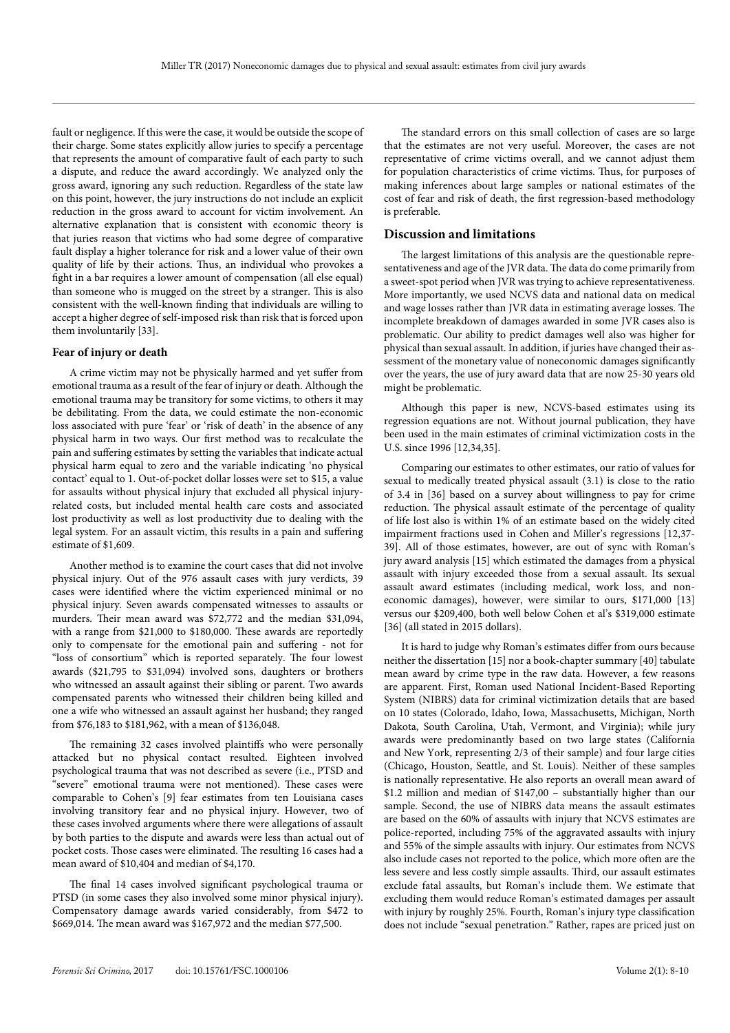fault or negligence. If this were the case, it would be outside the scope of their charge. Some states explicitly allow juries to specify a percentage that represents the amount of comparative fault of each party to such a dispute, and reduce the award accordingly. We analyzed only the gross award, ignoring any such reduction. Regardless of the state law on this point, however, the jury instructions do not include an explicit reduction in the gross award to account for victim involvement. An alternative explanation that is consistent with economic theory is that juries reason that victims who had some degree of comparative fault display a higher tolerance for risk and a lower value of their own quality of life by their actions. Thus, an individual who provokes a fight in a bar requires a lower amount of compensation (all else equal) than someone who is mugged on the street by a stranger. This is also consistent with the well-known finding that individuals are willing to accept a higher degree of self-imposed risk than risk that is forced upon them involuntarily [33].

#### **Fear of injury or death**

A crime victim may not be physically harmed and yet suffer from emotional trauma as a result of the fear of injury or death. Although the emotional trauma may be transitory for some victims, to others it may be debilitating. From the data, we could estimate the non-economic loss associated with pure 'fear' or 'risk of death' in the absence of any physical harm in two ways. Our first method was to recalculate the pain and suffering estimates by setting the variables that indicate actual physical harm equal to zero and the variable indicating 'no physical contact' equal to 1. Out-of-pocket dollar losses were set to \$15, a value for assaults without physical injury that excluded all physical injuryrelated costs, but included mental health care costs and associated lost productivity as well as lost productivity due to dealing with the legal system. For an assault victim, this results in a pain and suffering estimate of \$1,609.

Another method is to examine the court cases that did not involve physical injury. Out of the 976 assault cases with jury verdicts, 39 cases were identified where the victim experienced minimal or no physical injury. Seven awards compensated witnesses to assaults or murders. Their mean award was \$72,772 and the median \$31,094, with a range from \$21,000 to \$180,000. These awards are reportedly only to compensate for the emotional pain and suffering - not for "loss of consortium" which is reported separately. The four lowest awards (\$21,795 to \$31,094) involved sons, daughters or brothers who witnessed an assault against their sibling or parent. Two awards compensated parents who witnessed their children being killed and one a wife who witnessed an assault against her husband; they ranged from \$76,183 to \$181,962, with a mean of \$136,048.

The remaining 32 cases involved plaintiffs who were personally attacked but no physical contact resulted. Eighteen involved psychological trauma that was not described as severe (i.e., PTSD and "severe" emotional trauma were not mentioned). These cases were comparable to Cohen's [9] fear estimates from ten Louisiana cases involving transitory fear and no physical injury. However, two of these cases involved arguments where there were allegations of assault by both parties to the dispute and awards were less than actual out of pocket costs. Those cases were eliminated. The resulting 16 cases had a mean award of \$10,404 and median of \$4,170.

The final 14 cases involved significant psychological trauma or PTSD (in some cases they also involved some minor physical injury). Compensatory damage awards varied considerably, from \$472 to \$669,014. The mean award was \$167,972 and the median \$77,500.

The standard errors on this small collection of cases are so large that the estimates are not very useful. Moreover, the cases are not representative of crime victims overall, and we cannot adjust them for population characteristics of crime victims. Thus, for purposes of making inferences about large samples or national estimates of the cost of fear and risk of death, the first regression-based methodology is preferable.

# **Discussion and limitations**

The largest limitations of this analysis are the questionable representativeness and age of the JVR data. The data do come primarily from a sweet-spot period when JVR was trying to achieve representativeness. More importantly, we used NCVS data and national data on medical and wage losses rather than JVR data in estimating average losses. The incomplete breakdown of damages awarded in some JVR cases also is problematic. Our ability to predict damages well also was higher for physical than sexual assault. In addition, if juries have changed their assessment of the monetary value of noneconomic damages significantly over the years, the use of jury award data that are now 25-30 years old might be problematic.

Although this paper is new, NCVS-based estimates using its regression equations are not. Without journal publication, they have been used in the main estimates of criminal victimization costs in the U.S. since 1996 [12,34,35].

Comparing our estimates to other estimates, our ratio of values for sexual to medically treated physical assault (3.1) is close to the ratio of 3.4 in [36] based on a survey about willingness to pay for crime reduction. The physical assault estimate of the percentage of quality of life lost also is within 1% of an estimate based on the widely cited impairment fractions used in Cohen and Miller's regressions [12,37- 39]. All of those estimates, however, are out of sync with Roman's jury award analysis [15] which estimated the damages from a physical assault with injury exceeded those from a sexual assault. Its sexual assault award estimates (including medical, work loss, and noneconomic damages), however, were similar to ours, \$171,000 [13] versus our \$209,400, both well below Cohen et al's \$319,000 estimate [36] (all stated in 2015 dollars).

It is hard to judge why Roman's estimates differ from ours because neither the dissertation [15] nor a book-chapter summary [40] tabulate mean award by crime type in the raw data. However, a few reasons are apparent. First, Roman used National Incident-Based Reporting System (NIBRS) data for criminal victimization details that are based on 10 states (Colorado, Idaho, Iowa, Massachusetts, Michigan, North Dakota, South Carolina, Utah, Vermont, and Virginia); while jury awards were predominantly based on two large states (California and New York, representing 2/3 of their sample) and four large cities (Chicago, Houston, Seattle, and St. Louis). Neither of these samples is nationally representative. He also reports an overall mean award of \$1.2 million and median of \$147,00 – substantially higher than our sample. Second, the use of NIBRS data means the assault estimates are based on the 60% of assaults with injury that NCVS estimates are police-reported, including 75% of the aggravated assaults with injury and 55% of the simple assaults with injury. Our estimates from NCVS also include cases not reported to the police, which more often are the less severe and less costly simple assaults. Third, our assault estimates exclude fatal assaults, but Roman's include them. We estimate that excluding them would reduce Roman's estimated damages per assault with injury by roughly 25%. Fourth, Roman's injury type classification does not include "sexual penetration." Rather, rapes are priced just on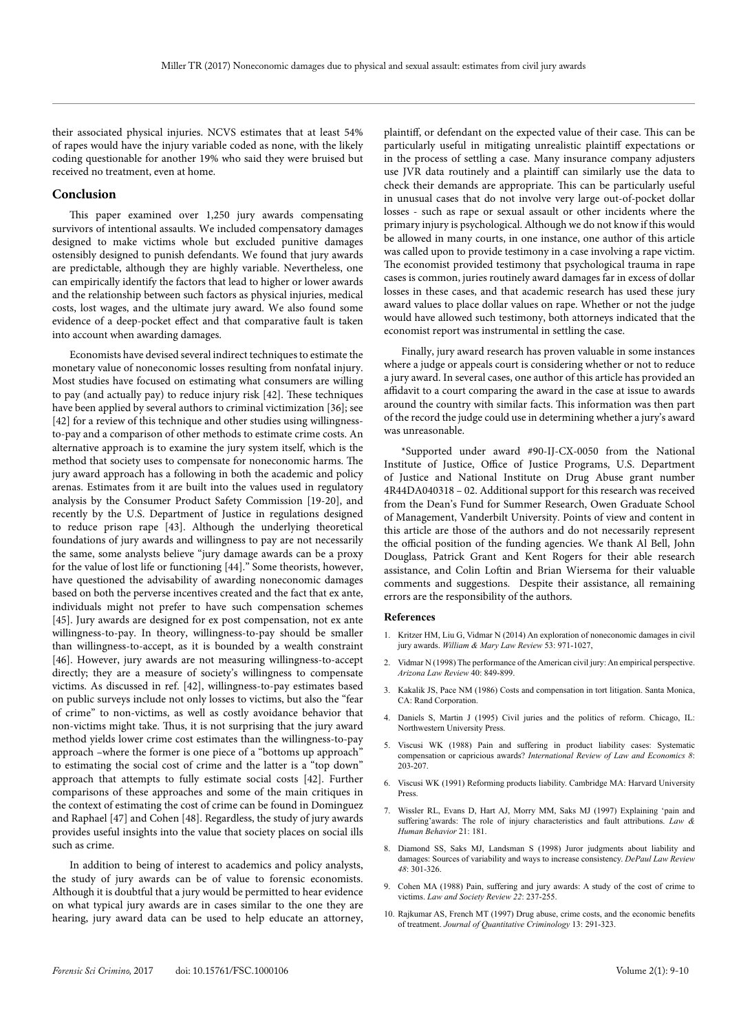their associated physical injuries. NCVS estimates that at least 54% of rapes would have the injury variable coded as none, with the likely coding questionable for another 19% who said they were bruised but received no treatment, even at home.

#### **Conclusion**

This paper examined over 1,250 jury awards compensating survivors of intentional assaults. We included compensatory damages designed to make victims whole but excluded punitive damages ostensibly designed to punish defendants. We found that jury awards are predictable, although they are highly variable. Nevertheless, one can empirically identify the factors that lead to higher or lower awards and the relationship between such factors as physical injuries, medical costs, lost wages, and the ultimate jury award. We also found some evidence of a deep-pocket effect and that comparative fault is taken into account when awarding damages.

Economists have devised several indirect techniques to estimate the monetary value of noneconomic losses resulting from nonfatal injury. Most studies have focused on estimating what consumers are willing to pay (and actually pay) to reduce injury risk [42]. These techniques have been applied by several authors to criminal victimization [36]; see [42] for a review of this technique and other studies using willingnessto-pay and a comparison of other methods to estimate crime costs. An alternative approach is to examine the jury system itself, which is the method that society uses to compensate for noneconomic harms. The jury award approach has a following in both the academic and policy arenas. Estimates from it are built into the values used in regulatory analysis by the Consumer Product Safety Commission [19-20], and recently by the U.S. Department of Justice in regulations designed to reduce prison rape [43]. Although the underlying theoretical foundations of jury awards and willingness to pay are not necessarily the same, some analysts believe "jury damage awards can be a proxy for the value of lost life or functioning [44]." Some theorists, however, have questioned the advisability of awarding noneconomic damages based on both the perverse incentives created and the fact that ex ante, individuals might not prefer to have such compensation schemes [45]. Jury awards are designed for ex post compensation, not ex ante willingness-to-pay. In theory, willingness-to-pay should be smaller than willingness-to-accept, as it is bounded by a wealth constraint [46]. However, jury awards are not measuring willingness-to-accept directly; they are a measure of society's willingness to compensate victims. As discussed in ref. [42], willingness-to-pay estimates based on public surveys include not only losses to victims, but also the "fear of crime" to non-victims, as well as costly avoidance behavior that non-victims might take. Thus, it is not surprising that the jury award method yields lower crime cost estimates than the willingness-to-pay approach –where the former is one piece of a "bottoms up approach" to estimating the social cost of crime and the latter is a "top down" approach that attempts to fully estimate social costs [42]. Further comparisons of these approaches and some of the main critiques in the context of estimating the cost of crime can be found in Dominguez and Raphael [47] and Cohen [48]. Regardless, the study of jury awards provides useful insights into the value that society places on social ills such as crime.

In addition to being of interest to academics and policy analysts, the study of jury awards can be of value to forensic economists. Although it is doubtful that a jury would be permitted to hear evidence on what typical jury awards are in cases similar to the one they are hearing, jury award data can be used to help educate an attorney,

plaintiff, or defendant on the expected value of their case. This can be particularly useful in mitigating unrealistic plaintiff expectations or in the process of settling a case. Many insurance company adjusters use JVR data routinely and a plaintiff can similarly use the data to check their demands are appropriate. This can be particularly useful in unusual cases that do not involve very large out-of-pocket dollar losses - such as rape or sexual assault or other incidents where the primary injury is psychological. Although we do not know if this would be allowed in many courts, in one instance, one author of this article was called upon to provide testimony in a case involving a rape victim. The economist provided testimony that psychological trauma in rape cases is common, juries routinely award damages far in excess of dollar losses in these cases, and that academic research has used these jury award values to place dollar values on rape. Whether or not the judge would have allowed such testimony, both attorneys indicated that the economist report was instrumental in settling the case.

Finally, jury award research has proven valuable in some instances where a judge or appeals court is considering whether or not to reduce a jury award. In several cases, one author of this article has provided an affidavit to a court comparing the award in the case at issue to awards around the country with similar facts. This information was then part of the record the judge could use in determining whether a jury's award was unreasonable.

\*Supported under award #90-IJ-CX-0050 from the National Institute of Justice, Office of Justice Programs, U.S. Department of Justice and National Institute on Drug Abuse grant number 4R44DA040318 – 02. Additional support for this research was received from the Dean's Fund for Summer Research, Owen Graduate School of Management, Vanderbilt University. Points of view and content in this article are those of the authors and do not necessarily represent the official position of the funding agencies. We thank Al Bell, John Douglass, Patrick Grant and Kent Rogers for their able research assistance, and Colin Loftin and Brian Wiersema for their valuable comments and suggestions. Despite their assistance, all remaining errors are the responsibility of the authors.

#### **References**

- 1. Kritzer HM, Liu G, Vidmar N (2014) An exploration of noneconomic damages in civil jury awards. *William & Mary Law Review* 53: 971-1027,
- 2. Vidmar N (1998) The performance of the American civil jury: An empirical perspective. *Arizona Law Review* 40: 849-899.
- 3. Kakalik JS, Pace NM (1986) Costs and compensation in tort litigation. Santa Monica, CA: Rand Corporation.
- 4. Daniels S, Martin J (1995) Civil juries and the politics of reform. Chicago, IL: Northwestern University Press.
- 5. Viscusi WK (1988) Pain and suffering in product liability cases: Systematic compensation or capricious awards? *International Review of Law and Economics 8*: 203-207.
- 6. Viscusi WK (1991) Reforming products liability. Cambridge MA: Harvard University Press.
- 7. Wissler RL, Evans D, Hart AJ, Morry MM, Saks MJ (1997) Explaining 'pain and suffering'awards: The role of injury characteristics and fault attributions. *Law & Human Behavior* 21: 181.
- 8. Diamond SS, Saks MJ, Landsman S (1998) Juror judgments about liability and damages: Sources of variability and ways to increase consistency. *DePaul Law Review 48*: 301-326.
- 9. Cohen MA (1988) Pain, suffering and jury awards: A study of the cost of crime to victims. *Law and Society Review 22*: 237-255.
- 10. Rajkumar AS, French MT (1997) Drug abuse, crime costs, and the economic benefits of treatment. *Journal of Quantitative Criminology* 13: 291-323.